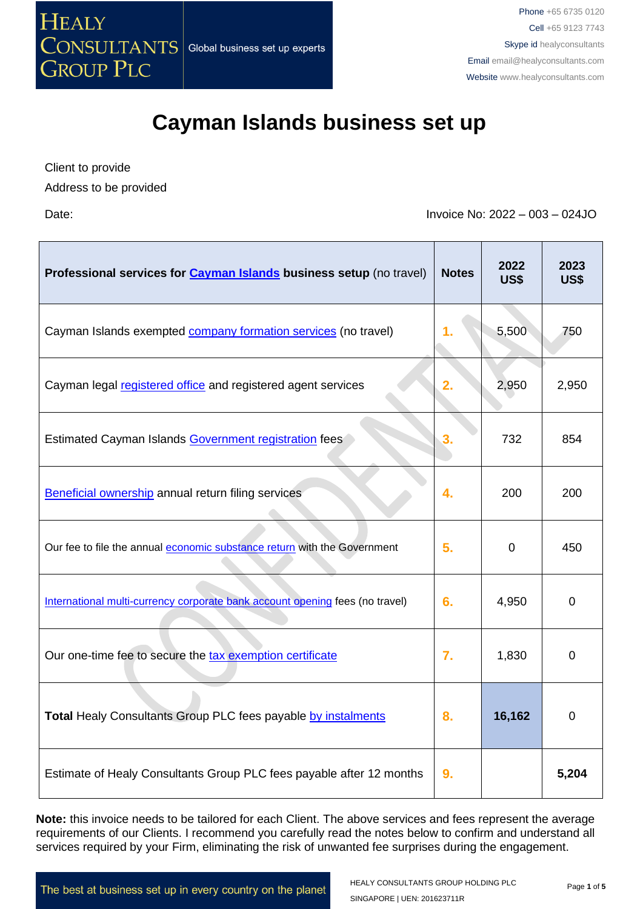

Client to provide

Address to be provided

Date: Invoice No: 2022 – 003 – 024JO

| Professional services for Cayman Islands business setup (no travel)          | <b>Notes</b> | 2022<br><b>US\$</b> | 2023<br><b>US\$</b> |
|------------------------------------------------------------------------------|--------------|---------------------|---------------------|
| Cayman Islands exempted company formation services (no travel)               | 1.           | 5,500               | 750                 |
| Cayman legal registered office and registered agent services                 | 2.           | 2,950               | 2,950               |
| Estimated Cayman Islands Government registration fees                        | 3.           | 732                 | 854                 |
| Beneficial ownership annual return filing services                           | 4.           | 200                 | 200                 |
| Our fee to file the annual economic substance return with the Government     | 5.           | $\overline{0}$      | 450                 |
| International multi-currency corporate bank account opening fees (no travel) | 6.           | 4,950               | $\mathbf 0$         |
| Our one-time fee to secure the tax exemption certificate                     | 7.           | 1,830               | $\overline{0}$      |
| Total Healy Consultants Group PLC fees payable by instalments                | 8.           | 16,162              | $\overline{0}$      |
| Estimate of Healy Consultants Group PLC fees payable after 12 months         | 9.           |                     | 5,204               |

**Note:** this invoice needs to be tailored for each Client. The above services and fees represent the average requirements of our Clients. I recommend you carefully read the notes below to confirm and understand all services required by your Firm, eliminating the risk of unwanted fee surprises during the engagement.

The best at business set up in every country on the planet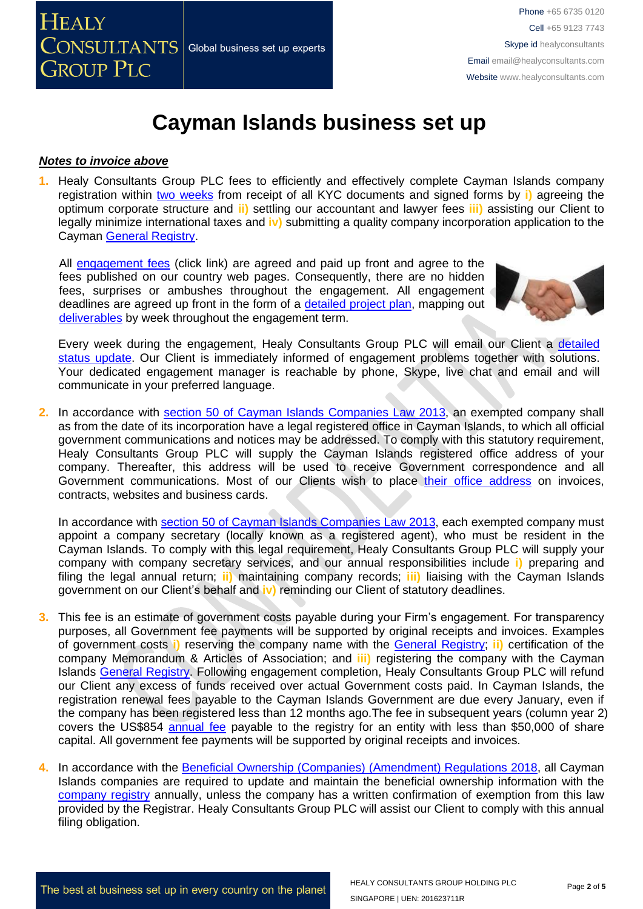#### *Notes to invoice above*

**1.** Healy Consultants Group PLC fees to efficiently and effectively complete Cayman Islands company registration within two [weeks](http://www.healyconsultants.com/cayman-islands-company-registration/fees-timelines/#timelines) from receipt of all KYC documents and signed forms by **i)** agreeing the optimum corporate structure and **ii)** settling our accountant and lawyer fees **iii)** assisting our Client to legally minimize international taxes and **iv)** submitting a quality company incorporation application to the Cayman General [Registry.](https://www.ciregistry.ky/)

All [engagement fees](http://www.healyconsultants.com/company-registration-fees/) (click link) are agreed and paid up front and agree to the fees published on our country web pages. Consequently, there are no hidden fees, surprises or ambushes throughout the engagement. All engagement deadlines are agreed up front in the form of a [detailed project plan,](http://www.healyconsultants.com/index-important-links/example-project-plan/) mapping out [deliverables](http://www.healyconsultants.com/deliverables-to-our-clients/) by week throughout the engagement term.



Every week during the engagement, Healy Consultants Group PLC will email our Client a [detailed](http://www.healyconsultants.com/index-important-links/weekly-engagement-status-email/) [status update.](http://www.healyconsultants.com/index-important-links/weekly-engagement-status-email/) Our Client is immediately informed of engagement problems together with solutions. Your dedicated engagement manager is reachable by phone, Skype, live chat and email and will communicate in your preferred language.

**2.** In accordance with [section 50 of Cayman Islands Companies Law 2013,](chrome-extension://efaidnbmnnnibpcajpcglclefindmkaj/viewer.html?pdfurl=https%3A%2F%2Fwww.cima.ky%2Fupimages%2Fcommonfiles%2F1499344548CompaniesLaw2016Revision.pdf&clen=766422&chunk=true) an exempted company shall as from the date of its incorporation have a legal registered office in Cayman Islands, to which all official government communications and notices may be addressed. To comply with this statutory requirement, Healy Consultants Group PLC will supply the Cayman Islands registered office address of your company. Thereafter, this address will be used to receive Government correspondence and all Government communications. Most of our Clients wish to place their [office address](http://www.healyconsultants.com/corporate-outsourcing-services/company-secretary-and-legal-registered-office/) on invoices, contracts, websites and business cards.

In accordance with [section 50 of Cayman Islands Companies](chrome-extension://efaidnbmnnnibpcajpcglclefindmkaj/viewer.html?pdfurl=https%3A%2F%2Fwww.cima.ky%2Fupimages%2Fcommonfiles%2F1499344548CompaniesLaw2016Revision.pdf&clen=766422&chunk=true) Law 2013, each exempted company must appoint a company secretary (locally known as a registered agent), who must be resident in the Cayman Islands. To comply with this legal requirement, Healy Consultants Group PLC will supply your company with company secretary services, and our annual responsibilities include **i)** preparing and filing the legal annual return; **ii)** maintaining company records; **iii)** liaising with the Cayman Islands government on our Client's behalf and **iv)** reminding our Client of statutory deadlines.

- **3.** This fee is an estimate of government costs payable during your Firm's engagement. For transparency purposes, all Government fee payments will be supported by original receipts and invoices. Examples of government costs **i)** reserving the company name with the General [Registry;](https://www.ciregistry.ky/) **ii)** certification of the company Memorandum & Articles of Association; and **iii)** registering the company with the Cayman Islands General [Registry.](https://www.ciregistry.ky/) Following engagement completion, Healy Consultants Group PLC will refund our Client any excess of funds received over actual Government costs paid. In Cayman Islands, the registration renewal fees payable to the Cayman Islands Government are due every January, even if the company has been registered less than 12 months ago.The fee in subsequent years (column year 2) covers the US\$854 [annual fee](http://www.ciregistry.gov.ky/portal/page/portal/reghome/companies/incorporation/regregistrationfees/GENERAL%20REGISTRY%20FEES%20SCHEDULE.pdf) payable to the registry for an entity with less than \$50,000 of share capital. All government fee payments will be supported by original receipts and invoices.
- **4.** In accordance with the Beneficial Ownership [\(Companies\) \(Amendment\) Regulations 2018,](http://www.gov.ky/portal/pls/portal/docs/1/12600381.PDF) all Cayman Islands companies are required to update and maintain the beneficial ownership information with the [company registry](https://www.ciregistry.ky/) annually, unless the company has a written confirmation of exemption from this law provided by the Registrar. Healy Consultants Group PLC will assist our Client to comply with this annual filing obligation.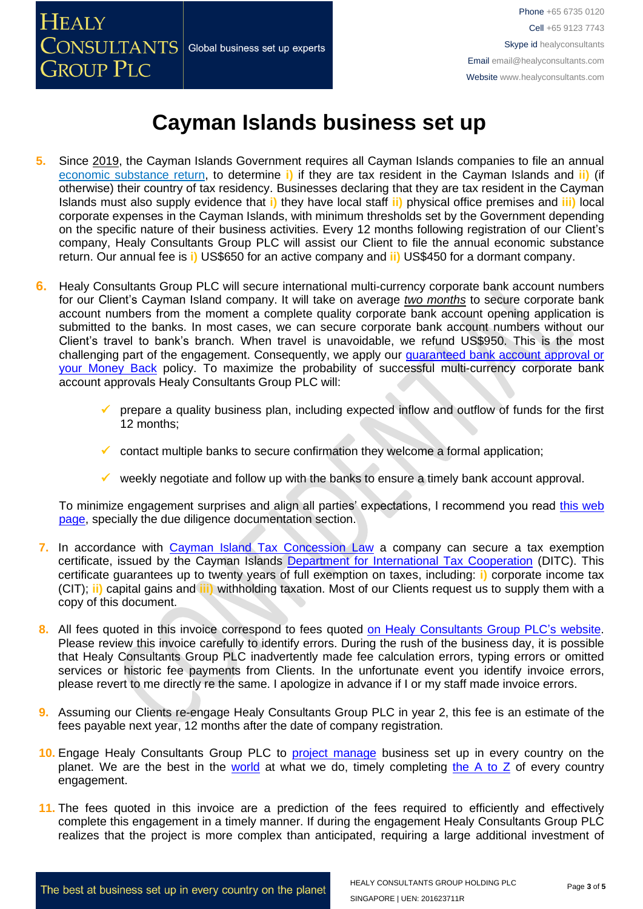

- **5.** Since [2019,](http://www.gov.ky/portal/pls/portal/docs/1/12738510.PDF) the Cayman Islands Government requires all Cayman Islands companies to file an annual [economic substance return,](chrome-extension://efaidnbmnnnibpcajpcglclefindmkaj/viewer.html?pdfurl=https%3A%2F%2Fwww.ditc.ky%2Fwp-content%2Fuploads%2FES-Return-sample.pdf&clen=357162&chunk=true) to determine **i)** if they are tax resident in the Cayman Islands and **ii)** (if otherwise) their country of tax residency. Businesses declaring that they are tax resident in the Cayman Islands must also supply evidence that **i)** they have local staff **ii)** physical office premises and **iii)** local corporate expenses in the Cayman Islands, with minimum thresholds set by the Government depending on the specific nature of their business activities. Every 12 months following registration of our Client's company, Healy Consultants Group PLC will assist our Client to file the annual economic substance return. Our annual fee is **i)** US\$650 for an active company and **ii)** US\$450 for a dormant company.
- **6.** Healy Consultants Group PLC will secure international multi-currency corporate bank account numbers for our Client's Cayman Island company. It will take on average *two months* to secure corporate bank account numbers from the moment a complete quality corporate bank account opening application is submitted to the banks. In most cases, we can secure corporate bank account numbers without our Client's travel to bank's branch. When travel is unavoidable, we refund US\$950. This is the most challenging part of the engagement. Consequently, we apply our quaranteed bank account approval or [your Money Back](https://www.healyconsultants.com/corporate-banking-services/guaranteed-corporate-bank-account-approvals/) policy. To maximize the probability of successful multi-currency corporate bank account approvals Healy Consultants Group PLC will:
	- prepare a quality business plan, including expected inflow and outflow of funds for the first 12 months;
	- $\checkmark$  contact multiple banks to secure confirmation they welcome a formal application:
	- $\checkmark$  weekly negotiate and follow up with the banks to ensure a timely bank account approval.

To minimize engagement surprises and align all parties' expectations, I recommend you read [this web](https://www.healyconsultants.com/multi-currency-corporate-bank-account/)  [page,](https://www.healyconsultants.com/multi-currency-corporate-bank-account/) specially the due diligence documentation section.

- **7.** In accordance with [Cayman Island Tax Concession Law](http://www.gov.ky/portal/pls/portal/docs/1/11524841.PDF) a company can secure a tax exemption certificate, issued by the Cayman Islands [Department for International Tax Cooperation](https://www.ditc.ky/) (DITC). This certificate guarantees up to twenty years of full exemption on taxes, including: **i)** corporate income tax (CIT); **ii)** capital gains and **iii)** withholding taxation. Most of our Clients request us to supply them with a copy of this document.
- **8.** All fees quoted in this invoice correspond to fees quoted [on Healy Consultants Group PLC's](http://www.healyconsultants.com/company-registration-fees/) website. Please review this invoice carefully to identify errors. During the rush of the business day, it is possible that Healy Consultants Group PLC inadvertently made fee calculation errors, typing errors or omitted services or historic fee payments from Clients. In the unfortunate event you identify invoice errors, please revert to me directly re the same. I apologize in advance if I or my staff made invoice errors.
- **9.** Assuming our Clients re-engage Healy Consultants Group PLC in year 2, this fee is an estimate of the fees payable next year, 12 months after the date of company registration.
- **10.** Engage Healy Consultants Group PLC to [project manage](http://www.healyconsultants.com/project-manage-engagements/) business set up in every country on the planet. We are the best in the [world](http://www.healyconsultants.com/best-in-the-world/) at what we do, timely completing [the A to Z](http://www.healyconsultants.com/a-to-z-of-business-set-up/) of every country engagement.
- 11. The fees quoted in this invoice are a prediction of the fees required to efficiently and effectively complete this engagement in a timely manner. If during the engagement Healy Consultants Group PLC realizes that the project is more complex than anticipated, requiring a large additional investment of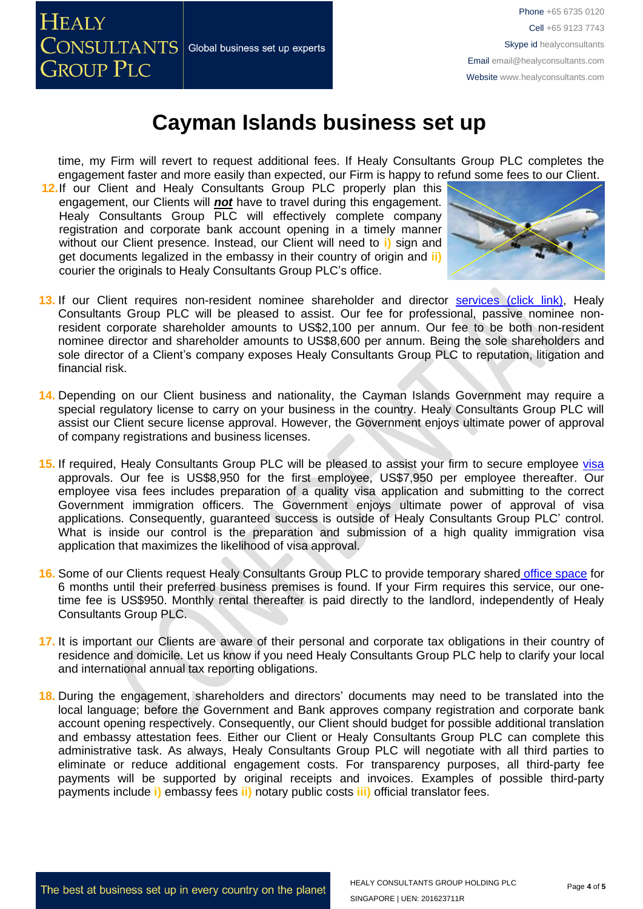

time, my Firm will revert to request additional fees. If Healy Consultants Group PLC completes the engagement faster and more easily than expected, our Firm is happy to refund some fees to our Client.

**12.**If our Client and Healy Consultants Group PLC properly plan this engagement, our Clients will *not* have to travel during this engagement. Healy Consultants Group PLC will effectively complete company registration and corporate bank account opening in a timely manner without our Client presence. Instead, our Client will need to **i)** sign and get documents legalized in the embassy in their country of origin and **ii)** courier the originals to Healy Consultants Group PLC's office.



- 13. If our Client requires non-resident nominee shareholder and director services [\(click link\),](http://www.healyconsultants.com/corporate-outsourcing-services/nominee-shareholders-directors/) Healy Consultants Group PLC will be pleased to assist. Our fee for professional, passive nominee nonresident corporate shareholder amounts to US\$2,100 per annum. Our fee to be both non-resident nominee director and shareholder amounts to US\$8,600 per annum. Being the sole shareholders and sole director of a Client's company exposes Healy Consultants Group PLC to reputation, litigation and financial risk.
- **14.** Depending on our Client business and nationality, the Cayman Islands Government may require a special regulatory license to carry on your business in the country. Healy Consultants Group PLC will assist our Client secure license approval. However, the Government enjoys ultimate power of approval of company registrations and business licenses.
- 15. If required, Healy Consultants Group PLC will be pleased to assist your firm to secure employee [visa](http://www.healyconsultants.com/corporate-advisory-services/migration/) approvals. Our fee is US\$8,950 for the first employee, US\$7,950 per employee thereafter. Our employee visa fees includes preparation of a quality visa application and submitting to the correct Government immigration officers. The Government enjoys ultimate power of approval of visa applications. Consequently, guaranteed success is outside of Healy Consultants Group PLC' control. What is inside our control is the preparation and submission of a high quality immigration visa application that maximizes the likelihood of visa approval.
- **16.** Some of our Clients request Healy Consultants Group PLC to provide temporary shared [office space](http://www.healyconsultants.com/virtual-office/) for 6 months until their preferred business premises is found. If your Firm requires this service, our onetime fee is US\$950. Monthly rental thereafter is paid directly to the landlord, independently of Healy Consultants Group PLC.
- **17.** It is important our Clients are aware of their personal and corporate tax obligations in their country of residence and domicile. Let us know if you need Healy Consultants Group PLC help to clarify your local and international annual tax reporting obligations.
- **18.** During the engagement, shareholders and directors' documents may need to be translated into the local language; before the Government and Bank approves company registration and corporate bank account opening respectively. Consequently, our Client should budget for possible additional translation and embassy attestation fees. Either our Client or Healy Consultants Group PLC can complete this administrative task. As always, Healy Consultants Group PLC will negotiate with all third parties to eliminate or reduce additional engagement costs. For transparency purposes, all third-party fee payments will be supported by original receipts and invoices. Examples of possible third-party payments include **i)** embassy fees **ii)** notary public costs **iii)** official translator fees.